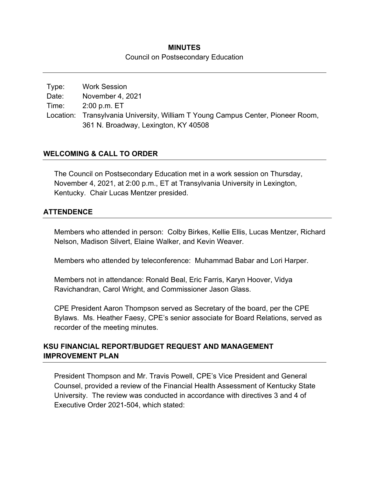## **MINUTES**  Council on Postsecondary Education

Type: Work Session Date: November 4, 2021 Time: 2:00 p.m. ET Location: Transylvania University, William T Young Campus Center, Pioneer Room, 361 N. Broadway, Lexington, KY 40508

## **WELCOMING & CALL TO ORDER**

The Council on Postsecondary Education met in a work session on Thursday, November 4, 2021, at 2:00 p.m., ET at Transylvania University in Lexington, Kentucky. Chair Lucas Mentzer presided.

#### **ATTENDENCE**

Members who attended in person: Colby Birkes, Kellie Ellis, Lucas Mentzer, Richard Nelson, Madison Silvert, Elaine Walker, and Kevin Weaver.

Members who attended by teleconference: Muhammad Babar and Lori Harper.

Members not in attendance: Ronald Beal, Eric Farris, Karyn Hoover, Vidya Ravichandran, Carol Wright, and Commissioner Jason Glass.

CPE President Aaron Thompson served as Secretary of the board, per the CPE Bylaws. Ms. Heather Faesy, CPE's senior associate for Board Relations, served as recorder of the meeting minutes.

## **KSU FINANCIAL REPORT/BUDGET REQUEST AND MANAGEMENT IMPROVEMENT PLAN**

President Thompson and Mr. Travis Powell, CPE's Vice President and General Counsel, provided a review of the Financial Health Assessment of Kentucky State University. The review was conducted in accordance with directives 3 and 4 of Executive Order 2021-504, which stated: